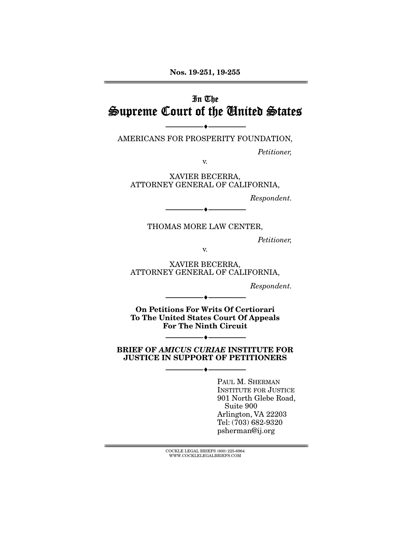Nos. 19-251, 19-255 ================================================================================================================

## In The Supreme Court of the United States

--------------------------------- --------------------------------- AMERICANS FOR PROSPERITY FOUNDATION,

*Petitioner,* 

v.

XAVIER BECERRA, ATTORNEY GENERAL OF CALIFORNIA,

*Respondent.* 

THOMAS MORE LAW CENTER,

--------------------------------- ---------------------------------

*Petitioner,* 

v.

XAVIER BECERRA, ATTORNEY GENERAL OF CALIFORNIA,

*Respondent.* 

On Petitions For Writs Of Certiorari To The United States Court Of Appeals For The Ninth Circuit

--------------------------------- ---------------------------------

BRIEF OF *AMICUS CURIAE* INSTITUTE FOR JUSTICE IN SUPPORT OF PETITIONERS

--------------------------------- ---------------------------------

--------------------------------- ---------------------------------

PAUL M. SHERMAN INSTITUTE FOR JUSTICE 901 North Glebe Road, Suite 900 Arlington, VA 22203 Tel: (703) 682-9320 psherman@ij.org

 ${ \rm COCKLE}$  LEGAL BRIEFS (800) 225-6964 WWW.COCKLELEGALBRIEFS.COM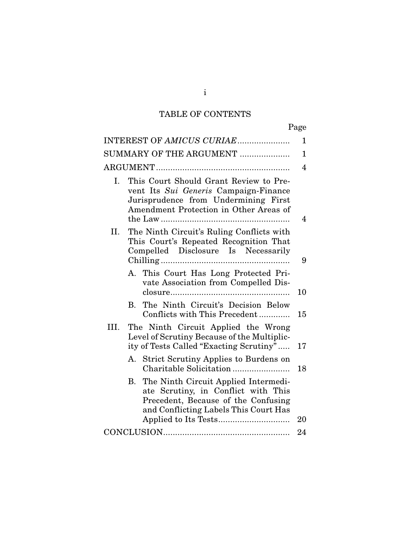## TABLE OF CONTENTS

| ۰, |
|----|
|----|

|      | INTEREST OF AMICUS CURIAE                                                                                                                                         | 1        |
|------|-------------------------------------------------------------------------------------------------------------------------------------------------------------------|----------|
|      |                                                                                                                                                                   |          |
|      | SUMMARY OF THE ARGUMENT                                                                                                                                           | 1        |
|      |                                                                                                                                                                   | 4        |
| I.   | This Court Should Grant Review to Pre-<br>vent Its Sui Generis Campaign-Finance<br>Jurisprudence from Undermining First<br>Amendment Protection in Other Areas of | 4        |
|      | II. The Ninth Circuit's Ruling Conflicts with<br>This Court's Repeated Recognition That<br>Compelled Disclosure Is Necessarily                                    | 9        |
|      | A. This Court Has Long Protected Pri-<br>vate Association from Compelled Dis-<br>The Ninth Circuit's Decision Below<br>B.                                         | 10       |
| III. | Conflicts with This Precedent<br>The Ninth Circuit Applied the Wrong<br>Level of Scrutiny Because of the Multiplic-<br>ity of Tests Called "Exacting Scrutiny"    | 15<br>17 |
|      | <b>Strict Scrutiny Applies to Burdens on</b><br>А.                                                                                                                | 18       |
|      | The Ninth Circuit Applied Intermedi-<br>В.<br>ate Scrutiny, in Conflict with This<br>Precedent, Because of the Confusing<br>and Conflicting Labels This Court Has | 20       |
|      |                                                                                                                                                                   | 24       |

i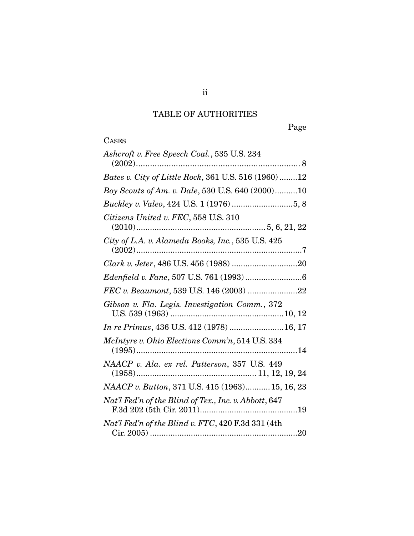# TABLE OF AUTHORITIES

Page

| Ashcroft v. Free Speech Coal., 535 U.S. 234           |
|-------------------------------------------------------|
| Bates v. City of Little Rock, 361 U.S. 516 (1960) 12  |
| Boy Scouts of Am. v. Dale, 530 U.S. 640 (2000)10      |
|                                                       |
| Citizens United v. FEC, 558 U.S. 310                  |
| City of L.A. v. Alameda Books, Inc., 535 U.S. 425     |
|                                                       |
|                                                       |
| FEC v. Beaumont, 539 U.S. 146 (2003) 22               |
| Gibson v. Fla. Legis. Investigation Comm., 372        |
| In re Primus, 436 U.S. 412 (1978) 16, 17              |
| McIntyre v. Ohio Elections Comm'n, 514 U.S. 334       |
| NAACP v. Ala. ex rel. Patterson, 357 U.S. 449         |
| NAACP v. Button, 371 U.S. 415 (1963) 15, 16, 23       |
| Nat'l Fed'n of the Blind of Tex., Inc. v. Abbott, 647 |
| Nat'l Fed'n of the Blind v. FTC, 420 F.3d 331 (4th    |

ii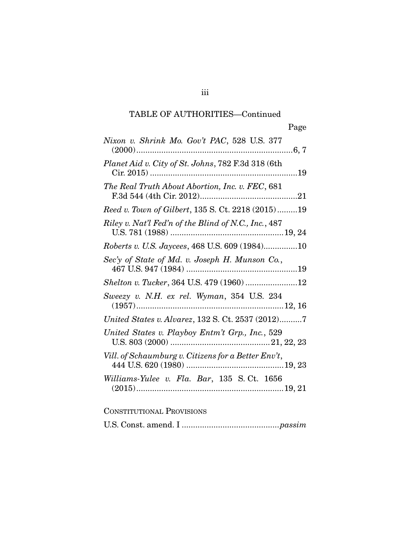| Nixon v. Shrink Mo. Gov't PAC, 528 U.S. 377          |
|------------------------------------------------------|
| Planet Aid v. City of St. Johns, 782 F.3d 318 (6th   |
| The Real Truth About Abortion, Inc. v. FEC, 681      |
| Reed v. Town of Gilbert, 135 S. Ct. 2218 (2015)19    |
| Riley v. Nat'l Fed'n of the Blind of N.C., Inc., 487 |
| Roberts v. U.S. Jaycees, 468 U.S. 609 (1984)10       |
| Sec'y of State of Md. v. Joseph H. Munson Co.,       |
| Shelton v. Tucker, 364 U.S. 479 (1960) 12            |
|                                                      |
| United States v. Alvarez, 132 S. Ct. 2537 (2012)7    |
| United States v. Playboy Entm't Grp., Inc., 529      |
| Vill. of Schaumburg v. Citizens for a Better Env't,  |
| Williams-Yulee v. Fla. Bar, 135 S.Ct. 1656           |

## CONSTITUTIONAL PROVISIONS

U.S. Const. amend. I ........................................... *passim*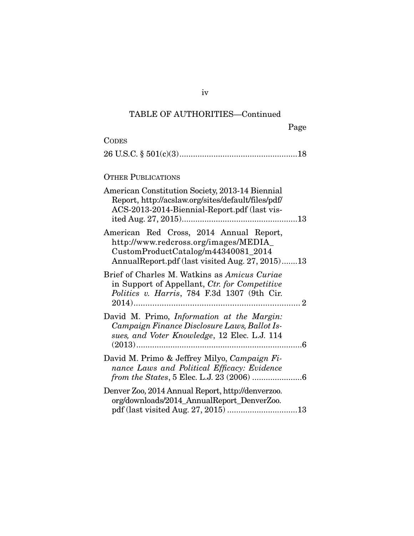| <b>CODES</b>                                                                                                                                                               |
|----------------------------------------------------------------------------------------------------------------------------------------------------------------------------|
|                                                                                                                                                                            |
| <b>OTHER PUBLICATIONS</b>                                                                                                                                                  |
| American Constitution Society, 2013-14 Biennial<br>Report, http://acslaw.org/sites/default/files/pdf/<br>ACS-2013-2014-Biennial-Report.pdf (last vis-                      |
| American Red Cross, 2014 Annual Report,<br>http://www.redcross.org/images/MEDIA_<br>CustomProductCatalog/m44340081_2014<br>AnnualReport.pdf (last visited Aug. 27, 2015)13 |
| Brief of Charles M. Watkins as Amicus Curiae<br>in Support of Appellant, Ctr. for Competitive<br>Politics v. Harris, 784 F.3d 1307 (9th Cir.                               |
| David M. Primo, <i>Information at the Margin</i> :<br>Campaign Finance Disclosure Laws, Ballot Is-<br>sues, and Voter Knowledge, 12 Elec. L.J. 114                         |
| David M. Primo & Jeffrey Milyo, Campaign Fi-<br>nance Laws and Political Efficacy: Evidence                                                                                |
| Denver Zoo, 2014 Annual Report, http://denverzoo.<br>org/downloads/2014_AnnualReport_DenverZoo.<br>pdf (last visited Aug. 27, 2015) 13                                     |

iv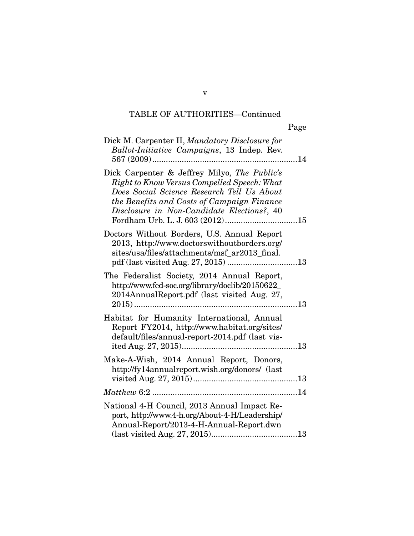| Dick M. Carpenter II, Mandatory Disclosure for<br>Ballot-Initiative Campaigns, 13 Indep. Rev.                                                                                                                                         |
|---------------------------------------------------------------------------------------------------------------------------------------------------------------------------------------------------------------------------------------|
| Dick Carpenter & Jeffrey Milyo, The Public's<br>Right to Know Versus Compelled Speech: What<br>Does Social Science Research Tell Us About<br>the Benefits and Costs of Campaign Finance<br>Disclosure in Non-Candidate Elections?, 40 |
| Doctors Without Borders, U.S. Annual Report<br>2013, http://www.doctorswithoutborders.org/<br>sites/usa/files/attachments/msf_ar2013_final.                                                                                           |
| The Federalist Society, 2014 Annual Report,<br>http://www.fed-soc.org/library/doclib/20150622_<br>2014AnnualReport.pdf (last visited Aug. 27,                                                                                         |
| Habitat for Humanity International, Annual<br>Report FY2014, http://www.habitat.org/sites/<br>default/files/annual-report-2014.pdf (last vis-                                                                                         |
| Make-A-Wish, 2014 Annual Report, Donors,<br>http://fy14annualreport.wish.org/donors/ (last                                                                                                                                            |
|                                                                                                                                                                                                                                       |
| National 4-H Council, 2013 Annual Impact Re-<br>port, http://www.4-h.org/About-4-H/Leadership/<br>Annual-Report/2013-4-H-Annual-Report.dwn                                                                                            |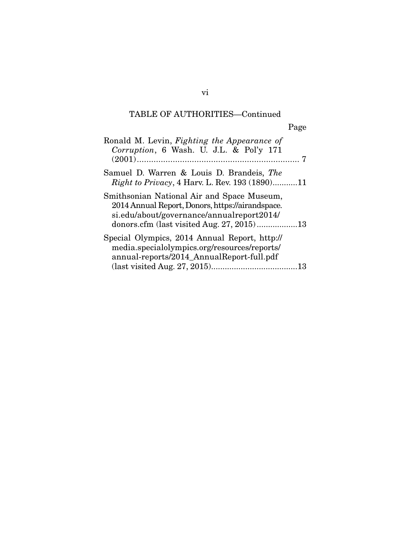| Ronald M. Levin, Fighting the Appearance of<br>Corruption, 6 Wash. U. J.L. & Pol'y 171                                                      |
|---------------------------------------------------------------------------------------------------------------------------------------------|
| Samuel D. Warren & Louis D. Brandeis, The<br><i>Right to Privacy</i> , 4 Harv. L. Rev. 193 (1890)11                                         |
| Smithsonian National Air and Space Museum,<br>2014 Annual Report, Donors, https://airandspace.<br>si.edu/about/governance/annualreport2014/ |
| Special Olympics, 2014 Annual Report, http://<br>media.specialolympics.org/resources/reports/<br>annual-reports/2014_AnnualReport-full.pdf  |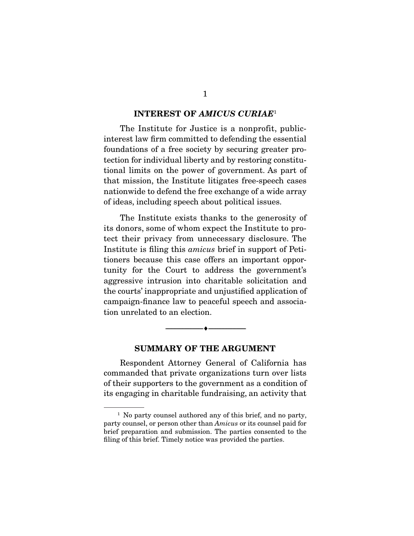#### INTEREST OF *AMICUS CURIAE*<sup>1</sup>

 The Institute for Justice is a nonprofit, publicinterest law firm committed to defending the essential foundations of a free society by securing greater protection for individual liberty and by restoring constitutional limits on the power of government. As part of that mission, the Institute litigates free-speech cases nationwide to defend the free exchange of a wide array of ideas, including speech about political issues.

 The Institute exists thanks to the generosity of its donors, some of whom expect the Institute to protect their privacy from unnecessary disclosure. The Institute is filing this *amicus* brief in support of Petitioners because this case offers an important opportunity for the Court to address the government's aggressive intrusion into charitable solicitation and the courts' inappropriate and unjustified application of campaign-finance law to peaceful speech and association unrelated to an election.

#### SUMMARY OF THE ARGUMENT

--------------------------------- ---------------------------------

 Respondent Attorney General of California has commanded that private organizations turn over lists of their supporters to the government as a condition of its engaging in charitable fundraising, an activity that

<sup>&</sup>lt;sup>1</sup> No party counsel authored any of this brief, and no party, party counsel, or person other than *Amicus* or its counsel paid for brief preparation and submission. The parties consented to the filing of this brief. Timely notice was provided the parties.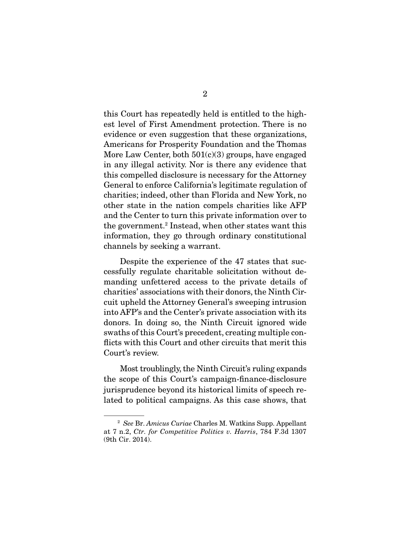this Court has repeatedly held is entitled to the highest level of First Amendment protection. There is no evidence or even suggestion that these organizations, Americans for Prosperity Foundation and the Thomas More Law Center, both  $501(c)(3)$  groups, have engaged in any illegal activity. Nor is there any evidence that this compelled disclosure is necessary for the Attorney General to enforce California's legitimate regulation of charities; indeed, other than Florida and New York, no other state in the nation compels charities like AFP and the Center to turn this private information over to the government.<sup>2</sup> Instead, when other states want this information, they go through ordinary constitutional channels by seeking a warrant.

 Despite the experience of the 47 states that successfully regulate charitable solicitation without demanding unfettered access to the private details of charities' associations with their donors, the Ninth Circuit upheld the Attorney General's sweeping intrusion into AFP's and the Center's private association with its donors. In doing so, the Ninth Circuit ignored wide swaths of this Court's precedent, creating multiple conflicts with this Court and other circuits that merit this Court's review.

 Most troublingly, the Ninth Circuit's ruling expands the scope of this Court's campaign-finance-disclosure jurisprudence beyond its historical limits of speech related to political campaigns. As this case shows, that

<sup>2</sup> *See* Br. *Amicus Curiae* Charles M. Watkins Supp. Appellant at 7 n.2, *Ctr. for Competitive Politics v. Harris*, 784 F.3d 1307 (9th Cir. 2014).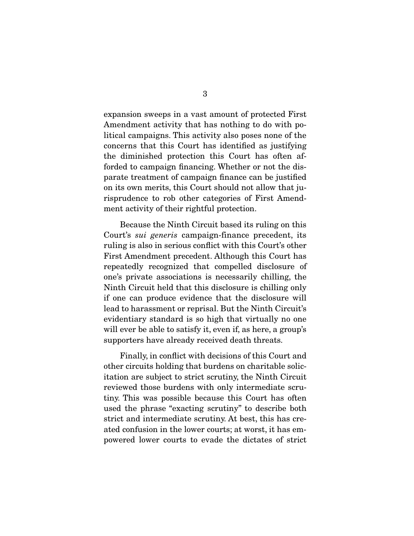expansion sweeps in a vast amount of protected First Amendment activity that has nothing to do with political campaigns. This activity also poses none of the concerns that this Court has identified as justifying the diminished protection this Court has often afforded to campaign financing. Whether or not the disparate treatment of campaign finance can be justified on its own merits, this Court should not allow that jurisprudence to rob other categories of First Amendment activity of their rightful protection.

 Because the Ninth Circuit based its ruling on this Court's *sui generis* campaign-finance precedent, its ruling is also in serious conflict with this Court's other First Amendment precedent. Although this Court has repeatedly recognized that compelled disclosure of one's private associations is necessarily chilling, the Ninth Circuit held that this disclosure is chilling only if one can produce evidence that the disclosure will lead to harassment or reprisal. But the Ninth Circuit's evidentiary standard is so high that virtually no one will ever be able to satisfy it, even if, as here, a group's supporters have already received death threats.

 Finally, in conflict with decisions of this Court and other circuits holding that burdens on charitable solicitation are subject to strict scrutiny, the Ninth Circuit reviewed those burdens with only intermediate scrutiny. This was possible because this Court has often used the phrase "exacting scrutiny" to describe both strict and intermediate scrutiny. At best, this has created confusion in the lower courts; at worst, it has empowered lower courts to evade the dictates of strict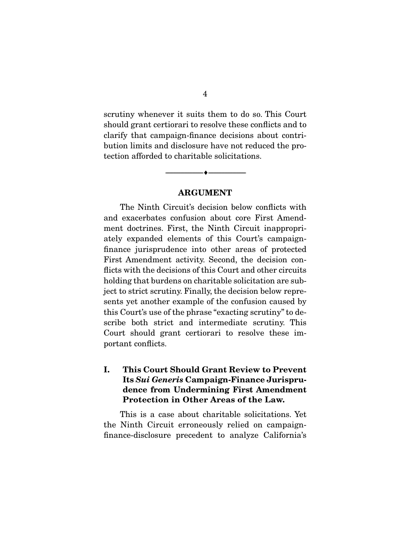scrutiny whenever it suits them to do so. This Court should grant certiorari to resolve these conflicts and to clarify that campaign-finance decisions about contribution limits and disclosure have not reduced the protection afforded to charitable solicitations.

#### ARGUMENT

--------------------------------- ---------------------------------

 The Ninth Circuit's decision below conflicts with and exacerbates confusion about core First Amendment doctrines. First, the Ninth Circuit inappropriately expanded elements of this Court's campaignfinance jurisprudence into other areas of protected First Amendment activity. Second, the decision conflicts with the decisions of this Court and other circuits holding that burdens on charitable solicitation are subject to strict scrutiny. Finally, the decision below represents yet another example of the confusion caused by this Court's use of the phrase "exacting scrutiny" to describe both strict and intermediate scrutiny. This Court should grant certiorari to resolve these important conflicts.

### I. This Court Should Grant Review to Prevent Its *Sui Generis* Campaign-Finance Jurisprudence from Undermining First Amendment Protection in Other Areas of the Law.

 This is a case about charitable solicitations. Yet the Ninth Circuit erroneously relied on campaignfinance-disclosure precedent to analyze California's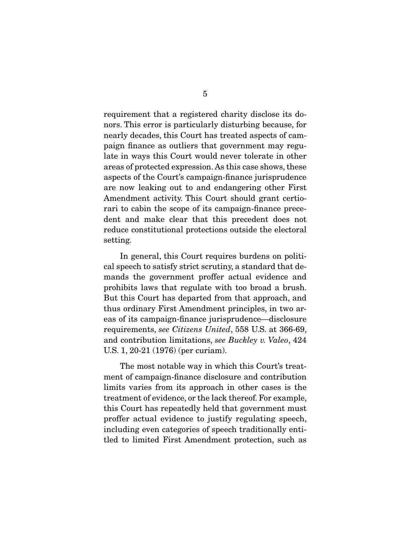requirement that a registered charity disclose its donors. This error is particularly disturbing because, for nearly decades, this Court has treated aspects of campaign finance as outliers that government may regulate in ways this Court would never tolerate in other areas of protected expression. As this case shows, these aspects of the Court's campaign-finance jurisprudence are now leaking out to and endangering other First Amendment activity. This Court should grant certiorari to cabin the scope of its campaign-finance precedent and make clear that this precedent does not reduce constitutional protections outside the electoral setting.

 In general, this Court requires burdens on political speech to satisfy strict scrutiny, a standard that demands the government proffer actual evidence and prohibits laws that regulate with too broad a brush. But this Court has departed from that approach, and thus ordinary First Amendment principles, in two areas of its campaign-finance jurisprudence—disclosure requirements, *see Citizens United*, 558 U.S. at 366-69, and contribution limitations, *see Buckley v. Valeo*, 424 U.S. 1, 20-21 (1976) (per curiam).

 The most notable way in which this Court's treatment of campaign-finance disclosure and contribution limits varies from its approach in other cases is the treatment of evidence, or the lack thereof. For example, this Court has repeatedly held that government must proffer actual evidence to justify regulating speech, including even categories of speech traditionally entitled to limited First Amendment protection, such as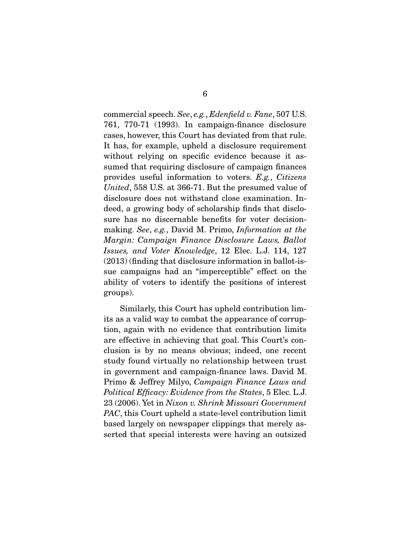commercial speech. *See*, *e.g.*, *Edenfield v. Fane*, 507 U.S. 761, 770-71 (1993). In campaign-finance disclosure cases, however, this Court has deviated from that rule. It has, for example, upheld a disclosure requirement without relying on specific evidence because it assumed that requiring disclosure of campaign finances provides useful information to voters. *E.g.*, *Citizens United*, 558 U.S. at 366-71. But the presumed value of disclosure does not withstand close examination. Indeed, a growing body of scholarship finds that disclosure has no discernable benefits for voter decisionmaking. *See*, *e.g.*, David M. Primo, *Information at the Margin: Campaign Finance Disclosure Laws, Ballot Issues, and Voter Knowledge*, 12 Elec. L.J. 114, 127 (2013) (finding that disclosure information in ballot-issue campaigns had an "imperceptible" effect on the ability of voters to identify the positions of interest groups).

 Similarly, this Court has upheld contribution limits as a valid way to combat the appearance of corruption, again with no evidence that contribution limits are effective in achieving that goal. This Court's conclusion is by no means obvious; indeed, one recent study found virtually no relationship between trust in government and campaign-finance laws. David M. Primo & Jeffrey Milyo, *Campaign Finance Laws and Political Efficacy: Evidence from the States*, 5 Elec. L.J. 23 (2006). Yet in *Nixon v. Shrink Missouri Government PAC*, this Court upheld a state-level contribution limit based largely on newspaper clippings that merely asserted that special interests were having an outsized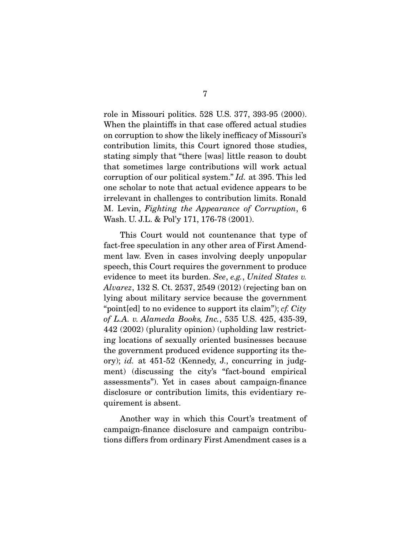role in Missouri politics. 528 U.S. 377, 393-95 (2000). When the plaintiffs in that case offered actual studies on corruption to show the likely inefficacy of Missouri's contribution limits, this Court ignored those studies, stating simply that "there [was] little reason to doubt that sometimes large contributions will work actual corruption of our political system." *Id.* at 395. This led one scholar to note that actual evidence appears to be irrelevant in challenges to contribution limits. Ronald M. Levin, *Fighting the Appearance of Corruption*, 6 Wash. U. J.L. & Pol'y 171, 176-78 (2001).

 This Court would not countenance that type of fact-free speculation in any other area of First Amendment law. Even in cases involving deeply unpopular speech, this Court requires the government to produce evidence to meet its burden. *See*, *e.g.*, *United States v. Alvarez*, 132 S. Ct. 2537, 2549 (2012) (rejecting ban on lying about military service because the government "point[ed] to no evidence to support its claim"); *cf. City of L.A. v. Alameda Books, Inc.*, 535 U.S. 425, 435-39, 442 (2002) (plurality opinion) (upholding law restricting locations of sexually oriented businesses because the government produced evidence supporting its theory); *id.* at 451-52 (Kennedy, J., concurring in judgment) (discussing the city's "fact-bound empirical assessments"). Yet in cases about campaign-finance disclosure or contribution limits, this evidentiary requirement is absent.

 Another way in which this Court's treatment of campaign-finance disclosure and campaign contributions differs from ordinary First Amendment cases is a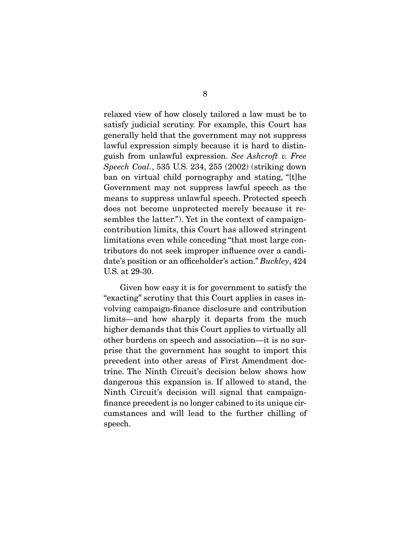relaxed view of how closely tailored a law must be to satisfy judicial scrutiny. For example, this Court has generally held that the government may not suppress lawful expression simply because it is hard to distinguish from unlawful expression. *See Ashcroft v. Free Speech Coal.*, 535 U.S. 234, 255 (2002) (striking down ban on virtual child pornography and stating, "[t]he Government may not suppress lawful speech as the means to suppress unlawful speech. Protected speech does not become unprotected merely because it resembles the latter."). Yet in the context of campaigncontribution limits, this Court has allowed stringent limitations even while conceding "that most large contributors do not seek improper influence over a candidate's position or an officeholder's action." *Buckley*, 424 U.S. at 29-30.

 Given how easy it is for government to satisfy the "exacting" scrutiny that this Court applies in cases involving campaign-finance disclosure and contribution limits—and how sharply it departs from the much higher demands that this Court applies to virtually all other burdens on speech and association—it is no surprise that the government has sought to import this precedent into other areas of First Amendment doctrine. The Ninth Circuit's decision below shows how dangerous this expansion is. If allowed to stand, the Ninth Circuit's decision will signal that campaignfinance precedent is no longer cabined to its unique circumstances and will lead to the further chilling of speech.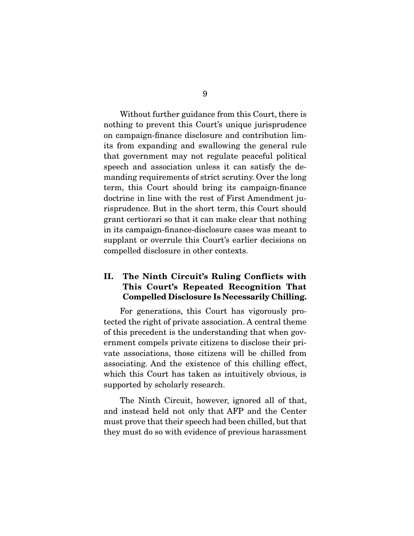Without further guidance from this Court, there is nothing to prevent this Court's unique jurisprudence on campaign-finance disclosure and contribution limits from expanding and swallowing the general rule that government may not regulate peaceful political speech and association unless it can satisfy the demanding requirements of strict scrutiny. Over the long term, this Court should bring its campaign-finance doctrine in line with the rest of First Amendment jurisprudence. But in the short term, this Court should grant certiorari so that it can make clear that nothing in its campaign-finance-disclosure cases was meant to supplant or overrule this Court's earlier decisions on compelled disclosure in other contexts.

### II. The Ninth Circuit's Ruling Conflicts with This Court's Repeated Recognition That Compelled Disclosure Is Necessarily Chilling.

 For generations, this Court has vigorously protected the right of private association. A central theme of this precedent is the understanding that when government compels private citizens to disclose their private associations, those citizens will be chilled from associating. And the existence of this chilling effect, which this Court has taken as intuitively obvious, is supported by scholarly research.

 The Ninth Circuit, however, ignored all of that, and instead held not only that AFP and the Center must prove that their speech had been chilled, but that they must do so with evidence of previous harassment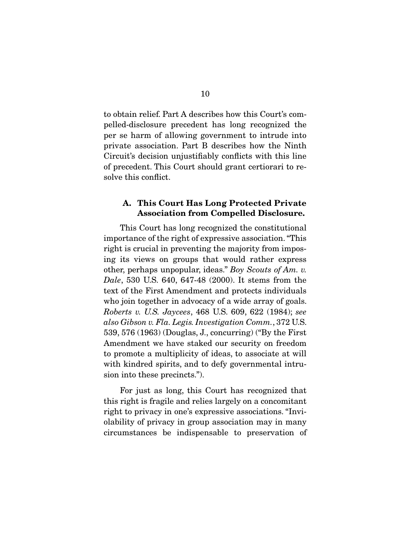to obtain relief. Part A describes how this Court's compelled-disclosure precedent has long recognized the per se harm of allowing government to intrude into private association. Part B describes how the Ninth Circuit's decision unjustifiably conflicts with this line of precedent. This Court should grant certiorari to resolve this conflict.

#### A. This Court Has Long Protected Private Association from Compelled Disclosure.

 This Court has long recognized the constitutional importance of the right of expressive association. "This right is crucial in preventing the majority from imposing its views on groups that would rather express other, perhaps unpopular, ideas." *Boy Scouts of Am. v. Dale*, 530 U.S. 640, 647-48 (2000). It stems from the text of the First Amendment and protects individuals who join together in advocacy of a wide array of goals. *Roberts v. U.S. Jaycees*, 468 U.S. 609, 622 (1984); *see also Gibson v. Fla. Legis. Investigation Comm.*, 372 U.S. 539, 576 (1963) (Douglas, J., concurring) ("By the First Amendment we have staked our security on freedom to promote a multiplicity of ideas, to associate at will with kindred spirits, and to defy governmental intrusion into these precincts.").

 For just as long, this Court has recognized that this right is fragile and relies largely on a concomitant right to privacy in one's expressive associations. "Inviolability of privacy in group association may in many circumstances be indispensable to preservation of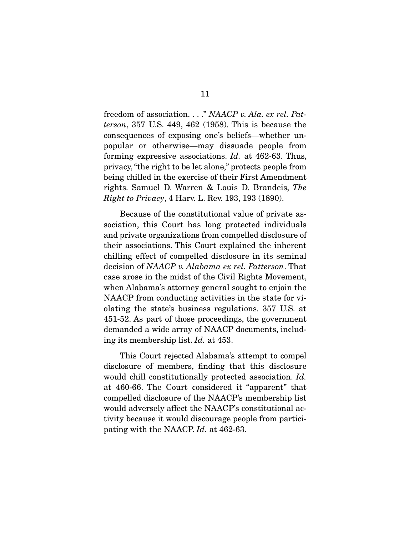freedom of association. . . ." *NAACP v. Ala. ex rel. Patterson*, 357 U.S. 449, 462 (1958). This is because the consequences of exposing one's beliefs—whether unpopular or otherwise—may dissuade people from forming expressive associations. *Id.* at 462-63. Thus, privacy, "the right to be let alone," protects people from being chilled in the exercise of their First Amendment rights. Samuel D. Warren & Louis D. Brandeis, *The Right to Privacy*, 4 Harv. L. Rev. 193, 193 (1890).

 Because of the constitutional value of private association, this Court has long protected individuals and private organizations from compelled disclosure of their associations. This Court explained the inherent chilling effect of compelled disclosure in its seminal decision of *NAACP v. Alabama ex rel. Patterson*. That case arose in the midst of the Civil Rights Movement, when Alabama's attorney general sought to enjoin the NAACP from conducting activities in the state for violating the state's business regulations. 357 U.S. at 451-52. As part of those proceedings, the government demanded a wide array of NAACP documents, including its membership list. *Id.* at 453.

 This Court rejected Alabama's attempt to compel disclosure of members, finding that this disclosure would chill constitutionally protected association. *Id.* at 460-66. The Court considered it "apparent" that compelled disclosure of the NAACP's membership list would adversely affect the NAACP's constitutional activity because it would discourage people from participating with the NAACP. *Id.* at 462-63.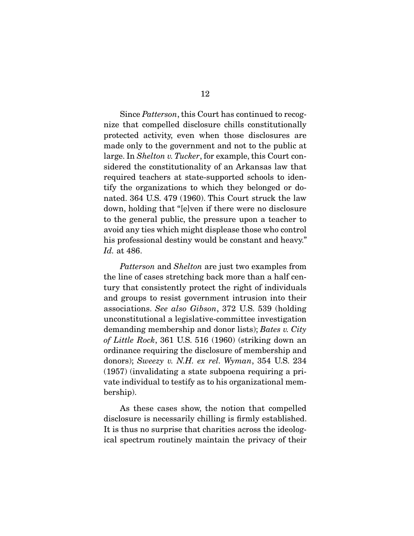Since *Patterson*, this Court has continued to recognize that compelled disclosure chills constitutionally protected activity, even when those disclosures are made only to the government and not to the public at large. In *Shelton v. Tucker*, for example, this Court considered the constitutionality of an Arkansas law that required teachers at state-supported schools to identify the organizations to which they belonged or donated. 364 U.S. 479 (1960). This Court struck the law down, holding that "[e]ven if there were no disclosure to the general public, the pressure upon a teacher to avoid any ties which might displease those who control his professional destiny would be constant and heavy." *Id.* at 486.

*Patterson* and *Shelton* are just two examples from the line of cases stretching back more than a half century that consistently protect the right of individuals and groups to resist government intrusion into their associations. *See also Gibson*, 372 U.S. 539 (holding unconstitutional a legislative-committee investigation demanding membership and donor lists); *Bates v. City of Little Rock*, 361 U.S. 516 (1960) (striking down an ordinance requiring the disclosure of membership and donors); *Sweezy v. N.H. ex rel. Wyman*, 354 U.S. 234 (1957) (invalidating a state subpoena requiring a private individual to testify as to his organizational membership).

 As these cases show, the notion that compelled disclosure is necessarily chilling is firmly established. It is thus no surprise that charities across the ideological spectrum routinely maintain the privacy of their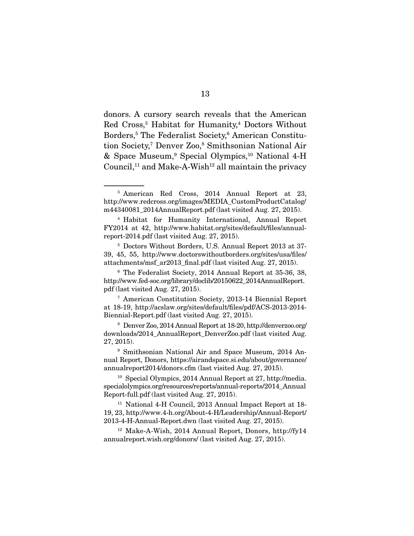donors. A cursory search reveals that the American Red Cross,<sup>3</sup> Habitat for Humanity,<sup>4</sup> Doctors Without Borders,<sup>5</sup> The Federalist Society,<sup>6</sup> American Constitution Society,<sup>7</sup> Denver Zoo,<sup>8</sup> Smithsonian National Air & Space Museum,9 Special Olympics,10 National 4-H Council,<sup>11</sup> and Make-A-Wish<sup>12</sup> all maintain the privacy

<sup>5</sup> Doctors Without Borders, U.S. Annual Report 2013 at 37- 39, 45, 55, http://www.doctorswithoutborders.org/sites/usa/files/ attachments/msf\_ar2013\_final.pdf (last visited Aug. 27, 2015).

<sup>6</sup> The Federalist Society, 2014 Annual Report at 35-36, 38, http://www.fed-soc.org/library/doclib/20150622\_2014AnnualReport. pdf (last visited Aug. 27, 2015).

<sup>7</sup> American Constitution Society, 2013-14 Biennial Report at 18-19, http://acslaw.org/sites/default/files/pdf/ACS-2013-2014- Biennial-Report.pdf (last visited Aug. 27, 2015).

<sup>8</sup> Denver Zoo, 2014 Annual Report at 18-20, http://denverzoo.org/ downloads/2014\_AnnualReport\_DenverZoo.pdf (last visited Aug. 27, 2015).

<sup>9</sup> Smithsonian National Air and Space Museum, 2014 Annual Report, Donors, https://airandspace.si.edu/about/governance/ annualreport2014/donors.cfm (last visited Aug. 27, 2015).

<sup>10</sup> Special Olympics, 2014 Annual Report at 27, http://media. specialolympics.org/resources/reports/annual-reports/2014\_Annual Report-full.pdf (last visited Aug. 27, 2015).

<sup>11</sup> National 4-H Council, 2013 Annual Impact Report at 18- 19, 23, http://www.4-h.org/About-4-H/Leadership/Annual-Report/ 2013-4-H-Annual-Report.dwn (last visited Aug. 27, 2015).

<sup>12</sup> Make-A-Wish, 2014 Annual Report, Donors, http://fy14 annualreport.wish.org/donors/ (last visited Aug. 27, 2015).

<sup>3</sup> American Red Cross, 2014 Annual Report at 23, http://www.redcross.org/images/MEDIA\_CustomProductCatalog/ m44340081\_2014AnnualReport.pdf (last visited Aug. 27, 2015).

<sup>4</sup> Habitat for Humanity International, Annual Report FY2014 at 42, http://www.habitat.org/sites/default/files/annualreport-2014.pdf (last visited Aug. 27, 2015).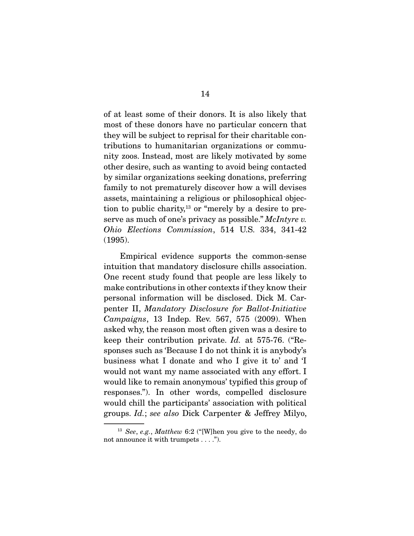of at least some of their donors. It is also likely that most of these donors have no particular concern that they will be subject to reprisal for their charitable contributions to humanitarian organizations or community zoos. Instead, most are likely motivated by some other desire, such as wanting to avoid being contacted by similar organizations seeking donations, preferring family to not prematurely discover how a will devises assets, maintaining a religious or philosophical objection to public charity,<sup>13</sup> or "merely by a desire to preserve as much of one's privacy as possible." *McIntyre v. Ohio Elections Commission*, 514 U.S. 334, 341-42 (1995).

 Empirical evidence supports the common-sense intuition that mandatory disclosure chills association. One recent study found that people are less likely to make contributions in other contexts if they know their personal information will be disclosed. Dick M. Carpenter II, *Mandatory Disclosure for Ballot-Initiative Campaigns*, 13 Indep. Rev. 567, 575 (2009). When asked why, the reason most often given was a desire to keep their contribution private. *Id.* at 575-76. ("Responses such as 'Because I do not think it is anybody's business what I donate and who I give it to' and 'I would not want my name associated with any effort. I would like to remain anonymous' typified this group of responses."). In other words, compelled disclosure would chill the participants' association with political groups. *Id.*; *see also* Dick Carpenter & Jeffrey Milyo,

<sup>13</sup> *See*, *e.g.*, *Matthew* 6:2 ("[W]hen you give to the needy, do not announce it with trumpets . . . .").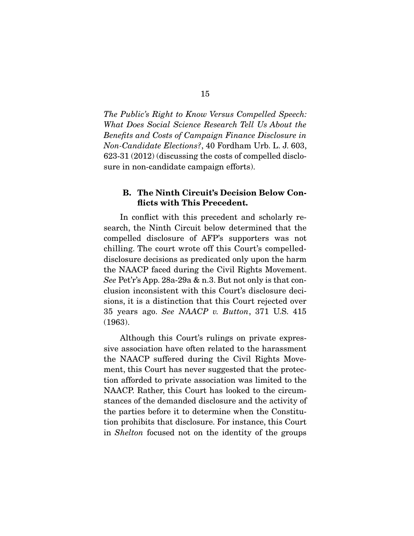*The Public's Right to Know Versus Compelled Speech: What Does Social Science Research Tell Us About the Benefits and Costs of Campaign Finance Disclosure in Non-Candidate Elections?*, 40 Fordham Urb. L. J. 603, 623-31 (2012) (discussing the costs of compelled disclosure in non-candidate campaign efforts).

#### B. The Ninth Circuit's Decision Below Conflicts with This Precedent.

 In conflict with this precedent and scholarly research, the Ninth Circuit below determined that the compelled disclosure of AFP's supporters was not chilling. The court wrote off this Court's compelleddisclosure decisions as predicated only upon the harm the NAACP faced during the Civil Rights Movement. *See* Pet'r's App. 28a-29a & n.3. But not only is that conclusion inconsistent with this Court's disclosure decisions, it is a distinction that this Court rejected over 35 years ago. *See NAACP v. Button*, 371 U.S. 415 (1963).

 Although this Court's rulings on private expressive association have often related to the harassment the NAACP suffered during the Civil Rights Movement, this Court has never suggested that the protection afforded to private association was limited to the NAACP. Rather, this Court has looked to the circumstances of the demanded disclosure and the activity of the parties before it to determine when the Constitution prohibits that disclosure. For instance, this Court in *Shelton* focused not on the identity of the groups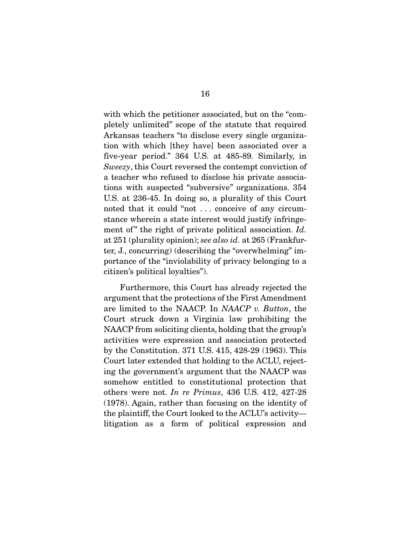with which the petitioner associated, but on the "completely unlimited" scope of the statute that required Arkansas teachers "to disclose every single organization with which [they have] been associated over a five-year period." 364 U.S. at 485-89. Similarly, in *Sweezy*, this Court reversed the contempt conviction of a teacher who refused to disclose his private associations with suspected "subversive" organizations. 354 U.S. at 236-45. In doing so, a plurality of this Court noted that it could "not . . . conceive of any circumstance wherein a state interest would justify infringement of " the right of private political association. *Id.* at 251 (plurality opinion); *see also id.* at 265 (Frankfurter, J., concurring) (describing the "overwhelming" importance of the "inviolability of privacy belonging to a citizen's political loyalties").

 Furthermore, this Court has already rejected the argument that the protections of the First Amendment are limited to the NAACP. In *NAACP v. Button*, the Court struck down a Virginia law prohibiting the NAACP from soliciting clients, holding that the group's activities were expression and association protected by the Constitution. 371 U.S. 415, 428-29 (1963). This Court later extended that holding to the ACLU, rejecting the government's argument that the NAACP was somehow entitled to constitutional protection that others were not. *In re Primus*, 436 U.S. 412, 427-28 (1978). Again, rather than focusing on the identity of the plaintiff, the Court looked to the ACLU's activity litigation as a form of political expression and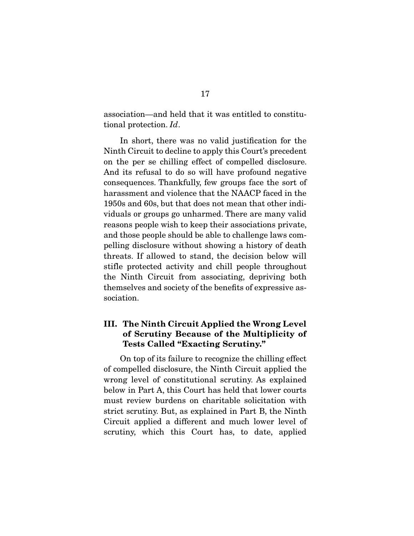association—and held that it was entitled to constitutional protection. *Id*.

 In short, there was no valid justification for the Ninth Circuit to decline to apply this Court's precedent on the per se chilling effect of compelled disclosure. And its refusal to do so will have profound negative consequences. Thankfully, few groups face the sort of harassment and violence that the NAACP faced in the 1950s and 60s, but that does not mean that other individuals or groups go unharmed. There are many valid reasons people wish to keep their associations private, and those people should be able to challenge laws compelling disclosure without showing a history of death threats. If allowed to stand, the decision below will stifle protected activity and chill people throughout the Ninth Circuit from associating, depriving both themselves and society of the benefits of expressive association.

### III. The Ninth Circuit Applied the Wrong Level of Scrutiny Because of the Multiplicity of Tests Called "Exacting Scrutiny."

 On top of its failure to recognize the chilling effect of compelled disclosure, the Ninth Circuit applied the wrong level of constitutional scrutiny. As explained below in Part A, this Court has held that lower courts must review burdens on charitable solicitation with strict scrutiny. But, as explained in Part B, the Ninth Circuit applied a different and much lower level of scrutiny, which this Court has, to date, applied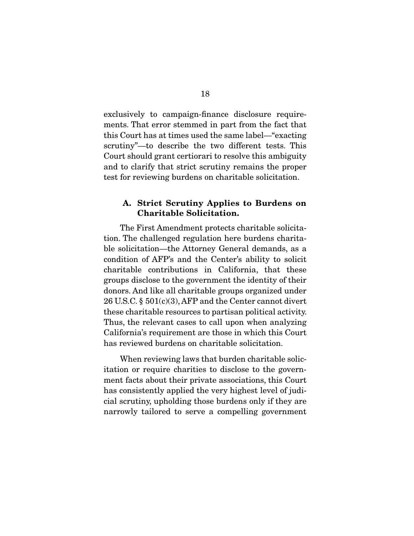exclusively to campaign-finance disclosure requirements. That error stemmed in part from the fact that this Court has at times used the same label—"exacting scrutiny"—to describe the two different tests. This Court should grant certiorari to resolve this ambiguity and to clarify that strict scrutiny remains the proper test for reviewing burdens on charitable solicitation.

#### A. Strict Scrutiny Applies to Burdens on Charitable Solicitation.

 The First Amendment protects charitable solicitation. The challenged regulation here burdens charitable solicitation—the Attorney General demands, as a condition of AFP's and the Center's ability to solicit charitable contributions in California, that these groups disclose to the government the identity of their donors. And like all charitable groups organized under 26 U.S.C. § 501(c)(3), AFP and the Center cannot divert these charitable resources to partisan political activity. Thus, the relevant cases to call upon when analyzing California's requirement are those in which this Court has reviewed burdens on charitable solicitation.

 When reviewing laws that burden charitable solicitation or require charities to disclose to the government facts about their private associations, this Court has consistently applied the very highest level of judicial scrutiny, upholding those burdens only if they are narrowly tailored to serve a compelling government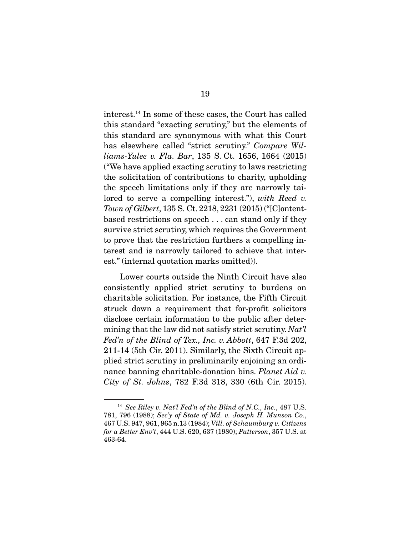interest.14 In some of these cases, the Court has called this standard "exacting scrutiny," but the elements of this standard are synonymous with what this Court has elsewhere called "strict scrutiny." *Compare Williams-Yulee v. Fla. Bar*, 135 S. Ct. 1656, 1664 (2015) ("We have applied exacting scrutiny to laws restricting the solicitation of contributions to charity, upholding the speech limitations only if they are narrowly tailored to serve a compelling interest."), *with Reed v. Town of Gilbert*, 135 S. Ct. 2218, 2231 (2015) ("[C]ontentbased restrictions on speech . . . can stand only if they survive strict scrutiny, which requires the Government to prove that the restriction furthers a compelling interest and is narrowly tailored to achieve that interest." (internal quotation marks omitted)).

 Lower courts outside the Ninth Circuit have also consistently applied strict scrutiny to burdens on charitable solicitation. For instance, the Fifth Circuit struck down a requirement that for-profit solicitors disclose certain information to the public after determining that the law did not satisfy strict scrutiny. *Nat'l Fed'n of the Blind of Tex., Inc. v. Abbott*, 647 F.3d 202, 211-14 (5th Cir. 2011). Similarly, the Sixth Circuit applied strict scrutiny in preliminarily enjoining an ordinance banning charitable-donation bins. *Planet Aid v. City of St. Johns*, 782 F.3d 318, 330 (6th Cir. 2015).

<sup>14</sup> *See Riley v. Nat'l Fed'n of the Blind of N.C., Inc.*, 487 U.S. 781, 796 (1988); *Sec'y of State of Md. v. Joseph H. Munson Co.*, 467 U.S. 947, 961, 965 n.13 (1984); *Vill. of Schaumburg v. Citizens for a Better Env't*, 444 U.S. 620, 637 (1980); *Patterson*, 357 U.S. at 463-64.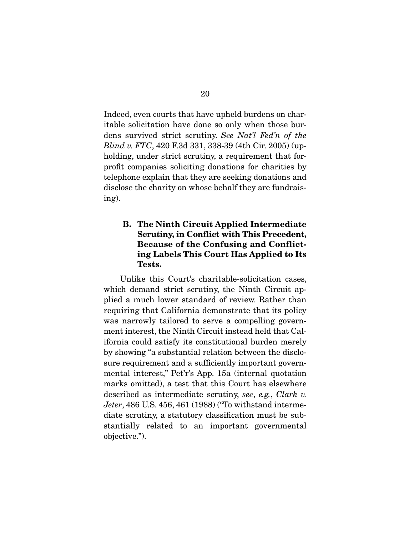Indeed, even courts that have upheld burdens on charitable solicitation have done so only when those burdens survived strict scrutiny. *See Nat'l Fed'n of the Blind v. FTC*, 420 F.3d 331, 338-39 (4th Cir. 2005) (upholding, under strict scrutiny, a requirement that forprofit companies soliciting donations for charities by telephone explain that they are seeking donations and disclose the charity on whose behalf they are fundraising).

### B. The Ninth Circuit Applied Intermediate Scrutiny, in Conflict with This Precedent, Because of the Confusing and Conflicting Labels This Court Has Applied to Its Tests.

 Unlike this Court's charitable-solicitation cases, which demand strict scrutiny, the Ninth Circuit applied a much lower standard of review. Rather than requiring that California demonstrate that its policy was narrowly tailored to serve a compelling government interest, the Ninth Circuit instead held that California could satisfy its constitutional burden merely by showing "a substantial relation between the disclosure requirement and a sufficiently important governmental interest," Pet'r's App. 15a (internal quotation marks omitted), a test that this Court has elsewhere described as intermediate scrutiny, *see*, *e.g.*, *Clark v. Jeter*, 486 U.S. 456, 461 (1988) ("To withstand intermediate scrutiny, a statutory classification must be substantially related to an important governmental objective.").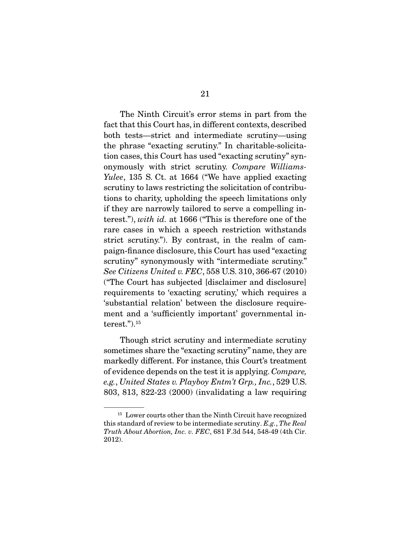The Ninth Circuit's error stems in part from the fact that this Court has, in different contexts, described both tests—strict and intermediate scrutiny—using the phrase "exacting scrutiny." In charitable-solicitation cases, this Court has used "exacting scrutiny" synonymously with strict scrutiny. *Compare Williams-Yulee*, 135 S. Ct. at 1664 ("We have applied exacting scrutiny to laws restricting the solicitation of contributions to charity, upholding the speech limitations only if they are narrowly tailored to serve a compelling interest."), *with id.* at 1666 ("This is therefore one of the rare cases in which a speech restriction withstands strict scrutiny."). By contrast, in the realm of campaign-finance disclosure, this Court has used "exacting scrutiny" synonymously with "intermediate scrutiny." *See Citizens United v. FEC*, 558 U.S. 310, 366-67 (2010) ("The Court has subjected [disclaimer and disclosure] requirements to 'exacting scrutiny,' which requires a 'substantial relation' between the disclosure requirement and a 'sufficiently important' governmental interest.").15

 Though strict scrutiny and intermediate scrutiny sometimes share the "exacting scrutiny" name, they are markedly different. For instance, this Court's treatment of evidence depends on the test it is applying. *Compare, e.g.*, *United States v. Playboy Entm't Grp., Inc.*, 529 U.S. 803, 813, 822-23 (2000) (invalidating a law requiring

<sup>&</sup>lt;sup>15</sup> Lower courts other than the Ninth Circuit have recognized this standard of review to be intermediate scrutiny. *E.g.*, *The Real Truth About Abortion, Inc. v. FEC*, 681 F.3d 544, 548-49 (4th Cir. 2012).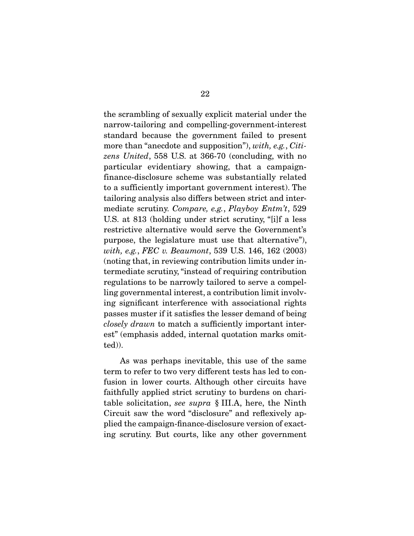the scrambling of sexually explicit material under the narrow-tailoring and compelling-government-interest standard because the government failed to present more than "anecdote and supposition"), *with, e.g.*, *Citizens United*, 558 U.S. at 366-70 (concluding, with no particular evidentiary showing, that a campaignfinance-disclosure scheme was substantially related to a sufficiently important government interest). The tailoring analysis also differs between strict and intermediate scrutiny. *Compare, e.g.*, *Playboy Entm't*, 529 U.S. at 813 (holding under strict scrutiny, "[i]f a less restrictive alternative would serve the Government's purpose, the legislature must use that alternative"), *with, e.g.*, *FEC v. Beaumont*, 539 U.S. 146, 162 (2003) (noting that, in reviewing contribution limits under intermediate scrutiny, "instead of requiring contribution regulations to be narrowly tailored to serve a compelling governmental interest, a contribution limit involving significant interference with associational rights passes muster if it satisfies the lesser demand of being *closely drawn* to match a sufficiently important interest" (emphasis added, internal quotation marks omitted)).

 As was perhaps inevitable, this use of the same term to refer to two very different tests has led to confusion in lower courts. Although other circuits have faithfully applied strict scrutiny to burdens on charitable solicitation, *see supra* § III.A, here, the Ninth Circuit saw the word "disclosure" and reflexively applied the campaign-finance-disclosure version of exacting scrutiny. But courts, like any other government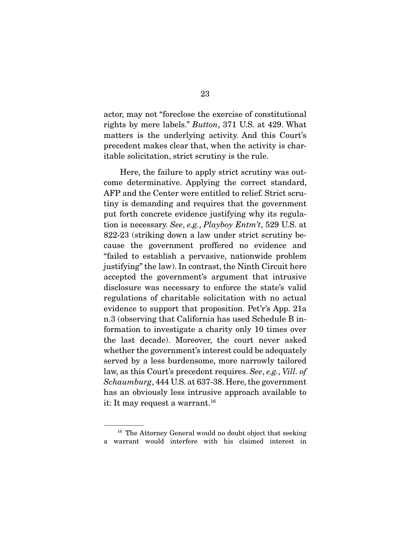actor, may not "foreclose the exercise of constitutional rights by mere labels." *Button*, 371 U.S. at 429. What matters is the underlying activity. And this Court's precedent makes clear that, when the activity is charitable solicitation, strict scrutiny is the rule.

 Here, the failure to apply strict scrutiny was outcome determinative. Applying the correct standard, AFP and the Center were entitled to relief. Strict scrutiny is demanding and requires that the government put forth concrete evidence justifying why its regulation is necessary. *See*, *e.g.*, *Playboy Entm't*, 529 U.S. at 822-23 (striking down a law under strict scrutiny because the government proffered no evidence and "failed to establish a pervasive, nationwide problem justifying" the law). In contrast, the Ninth Circuit here accepted the government's argument that intrusive disclosure was necessary to enforce the state's valid regulations of charitable solicitation with no actual evidence to support that proposition. Pet'r's App. 21a n.3 (observing that California has used Schedule B information to investigate a charity only 10 times over the last decade). Moreover, the court never asked whether the government's interest could be adequately served by a less burdensome, more narrowly tailored law, as this Court's precedent requires. *See*, *e.g.*, *Vill. of Schaumburg*, 444 U.S. at 637-38. Here, the government has an obviously less intrusive approach available to it: It may request a warrant.<sup>16</sup>

<sup>&</sup>lt;sup>16</sup> The Attorney General would no doubt object that seeking a warrant would interfere with his claimed interest in